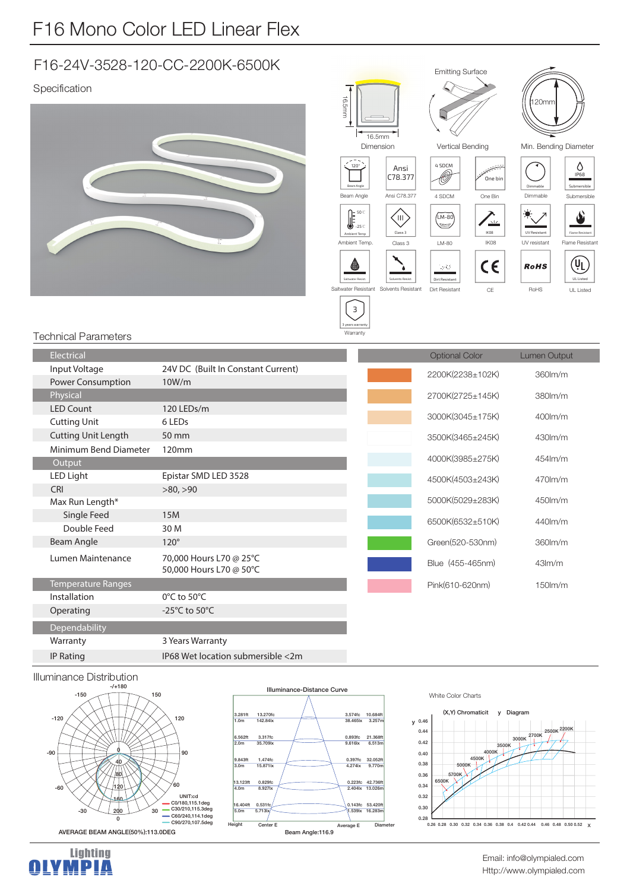# F16 Mono Color LED Linear Flex

## F16-24V-3528-120-CC-2200K-6500K

Specification





#### Technical Parameters

| Electrical                 |                                                    | <b>Optional Color</b> | <b>Lumen Output</b> |
|----------------------------|----------------------------------------------------|-----------------------|---------------------|
| Input Voltage              | 24V DC (Built In Constant Current)                 | 2200K(2238±102K)      | 360lm/m             |
| <b>Power Consumption</b>   | 10W/m                                              |                       |                     |
| Physical                   |                                                    | 2700K(2725±145K)      | $380$ lm/m          |
| <b>LED Count</b>           | 120 LEDs/m                                         | 3000K(3045±175K)      | $400$ lm/m          |
| <b>Cutting Unit</b>        | 6 LED <sub>s</sub>                                 |                       |                     |
| <b>Cutting Unit Length</b> | 50 mm                                              | 3500K(3465±245K)      | $430$ m/m           |
| Minimum Bend Diameter      | 120mm                                              |                       |                     |
| Output                     |                                                    | 4000K(3985±275K)      | 454lm/m             |
| LED Light                  | Epistar SMD LED 3528                               | 4500K(4503±243K)      | $470$ m/m           |
| <b>CRI</b>                 | >80, >90                                           |                       |                     |
| Max Run Length*            |                                                    | 5000K(5029±283K)      | $450$ m/m           |
| Single Feed                | <b>15M</b>                                         | 6500K(6532±510K)      | 440lm/m             |
| Double Feed                | 30 M                                               |                       |                     |
| Beam Angle                 | $120^\circ$                                        | Green(520-530nm)      | 360lm/m             |
| Lumen Maintenance          | 70,000 Hours L70 @ 25°C<br>50,000 Hours L70 @ 50°C | Blue (455-465nm)      | 43 <sub>lm/m</sub>  |
| Temperature Ranges         |                                                    | Pink(610-620nm)       | $150$ m/m           |
| Installation               | 0°C to 50°C                                        |                       |                     |
| Operating                  | -25 $^{\circ}$ C to 50 $^{\circ}$ C                |                       |                     |
| Dependability              |                                                    |                       |                     |
| Warranty                   | 3 Years Warranty                                   |                       |                     |
| IP Rating                  | IP68 Wet location submersible <2m                  |                       |                     |

#### $238 + 102K$ 360lm/m 380lm/m 400lm/m 430lm/m 454lm/m 470lm/m 450lm/m 440lm/m 360lm/m 43lm/m  $150$ lm/m 2700K(2725±145K) 3000K(3045±175K) 3500K(3465±245K) 4000K(3985±275K) 4500K(4503±243K) 5000K(5029±283K) 6500K(6532±510K) Green(520-530nm) Blue (455-465nm) Pink(610-620nm)

### Illuminance Distribution





#### White Color Charts



Http://www.olympialed.com Email: info@olympialed.com

Lighting /MPIA **TAN BER**